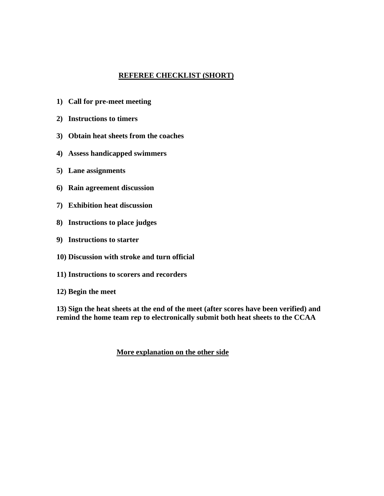## **REFEREE CHECKLIST (SHORT)**

- **1) Call for pre-meet meeting**
- **2) Instructions to timers**
- **3) Obtain heat sheets from the coaches**
- **4) Assess handicapped swimmers**
- **5) Lane assignments**
- **6) Rain agreement discussion**
- **7) Exhibition heat discussion**
- **8) Instructions to place judges**
- **9) Instructions to starter**
- **10) Discussion with stroke and turn official**
- **11) Instructions to scorers and recorders**
- **12) Begin the meet**

**13) Sign the heat sheets at the end of the meet (after scores have been verified) and remind the home team rep to electronically submit both heat sheets to the CCAA**

## **More explanation on the other side**